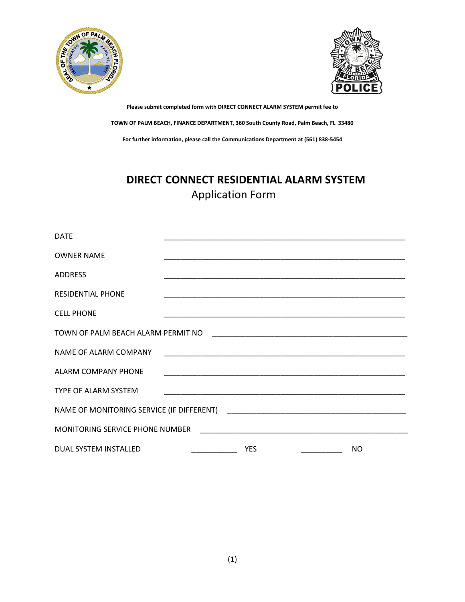



# **DIRECT CONNECT RESIDENTIAL ALARM SYSTEM** Application Form

| <b>DATE</b>                        |  |            |  |     |
|------------------------------------|--|------------|--|-----|
| <b>OWNER NAME</b>                  |  |            |  |     |
| <b>ADDRESS</b>                     |  |            |  |     |
| <b>RESIDENTIAL PHONE</b>           |  |            |  |     |
| <b>CELL PHONE</b>                  |  |            |  |     |
| TOWN OF PALM BEACH ALARM PERMIT NO |  |            |  |     |
| NAME OF ALARM COMPANY              |  |            |  |     |
| <b>ALARM COMPANY PHONE</b>         |  |            |  |     |
| TYPE OF ALARM SYSTEM               |  |            |  |     |
|                                    |  |            |  |     |
| MONITORING SERVICE PHONE NUMBER    |  |            |  |     |
| DUAL SYSTEM INSTALLED              |  | <b>YES</b> |  | NO. |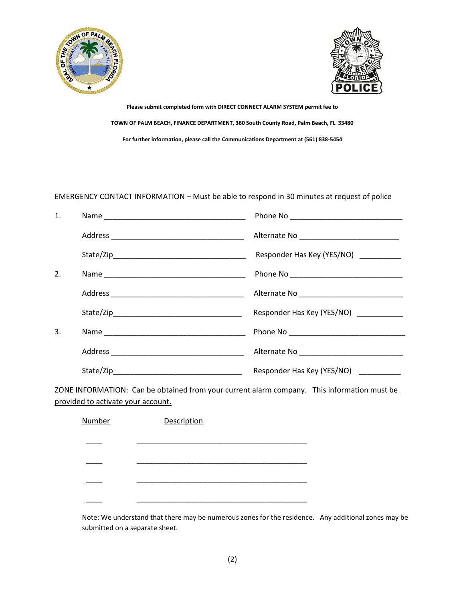



### EMERGENCY CONTACT INFORMATION – Must be able to respond in 30 minutes at request of police

| 1.                                                                                          |  |                                        |  |
|---------------------------------------------------------------------------------------------|--|----------------------------------------|--|
|                                                                                             |  |                                        |  |
|                                                                                             |  | Responder Has Key (YES/NO) _________   |  |
| 2.                                                                                          |  |                                        |  |
|                                                                                             |  |                                        |  |
|                                                                                             |  | Responder Has Key (YES/NO) ___________ |  |
| 3.                                                                                          |  |                                        |  |
|                                                                                             |  |                                        |  |
|                                                                                             |  | Responder Has Key (YES/NO)             |  |
| ZONE INFORMATION: Can be obtained from your current alarm company. This information must be |  |                                        |  |

provided to activate your account.

| <b>Number</b> | Description |  |
|---------------|-------------|--|
|               |             |  |
|               |             |  |
|               |             |  |
|               |             |  |

Note: We understand that there may be numerous zones for the residence. Any additional zones may be submitted on a separate sheet.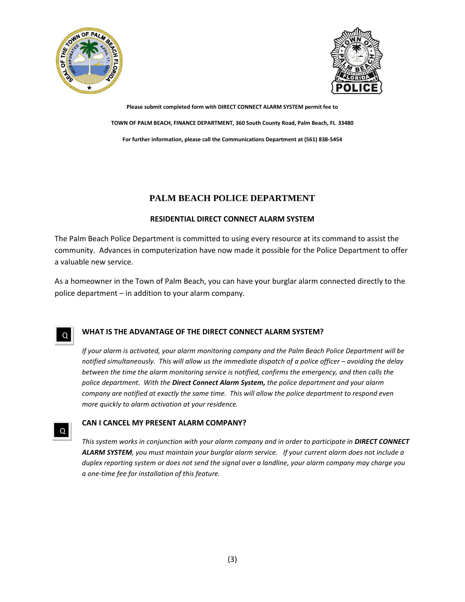



### **PALM BEACH POLICE DEPARTMENT**

### **RESIDENTIAL DIRECT CONNECT ALARM SYSTEM**

The Palm Beach Police Department is committed to using every resource at its command to assist the community. Advances in computerization have now made it possible for the Police Department to offer a valuable new service.

As a homeowner in the Town of Palm Beach, you can have your burglar alarm connected directly to the police department – in addition to your alarm company.

Q

Q

### **WHAT IS THE ADVANTAGE OF THE DIRECT CONNECT ALARM SYSTEM?**

*If your alarm is activated, your alarm monitoring company and the Palm Beach Police Department will be notified simultaneously. This will allow us the immediate dispatch of a police officer – avoiding the delay between the time the alarm monitoring service is notified, confirms the emergency, and then calls the police department. With the Direct Connect Alarm System, the police department and your alarm company are notified at exactly the same time. This will allow the police department to respond even more quickly to alarm activation at your residence.*

### **CAN I CANCEL MY PRESENT ALARM COMPANY?**

*This system works in conjunction with your alarm company and in order to participate in DIRECT CONNECT ALARM SYSTEM, you must maintain your burglar alarm service. If your current alarm does not include a duplex reporting system or does not send the signal over a landline, your alarm company may charge you a one-time fee for installation of this feature.*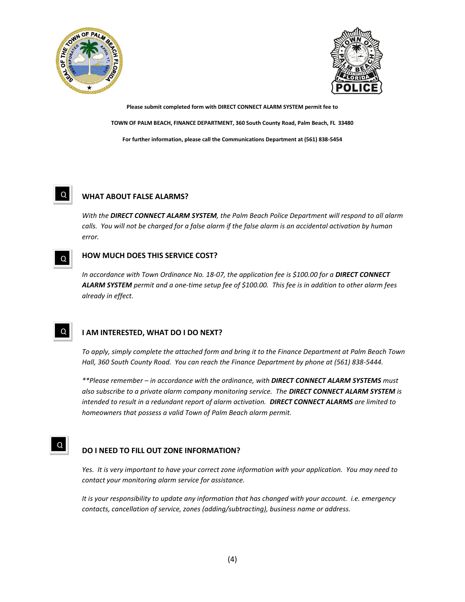



#### **WHAT ABOUT FALSE ALARMS?**  Q

*With the DIRECT CONNECT ALARM SYSTEM, the Palm Beach Police Department will respond to all alarm*  calls. You will not be charged for a false alarm if the false alarm is an accidental activation by human *error.* 

#### **HOW MUCH DOES THIS SERVICE COST?**   $Q$

*In accordance with Town Ordinance No. 18-07, the application fee is \$100.00 for a DIRECT CONNECT ALARM SYSTEM permit and a one-time setup fee of \$100.00. This fee is in addition to other alarm fees already in effect.* 

#### **I AM INTERESTED, WHAT DO I DO NEXT?**  Q

*To apply, simply complete the attached form and bring it to the Finance Department at Palm Beach Town Hall, 360 South County Road. You can reach the Finance Department by phone at (561) 838-5444.* 

*\*\*Please remember – in accordance with the ordinance, with DIRECT CONNECT ALARM SYSTEMS must also subscribe to a private alarm company monitoring service. The DIRECT CONNECT ALARM SYSTEM is intended to result in a redundant report of alarm activation. DIRECT CONNECT ALARMS are limited to homeowners that possess a valid Town of Palm Beach alarm permit.* 

### **DO I NEED TO FILL OUT ZONE INFORMATION?**

Q

*Yes. It is very important to have your correct zone information with your application. You may need to contact your monitoring alarm service for assistance.* 

*It is your responsibility to update any information that has changed with your account. i.e. emergency contacts, cancellation of service, zones (adding/subtracting), business name or address.*